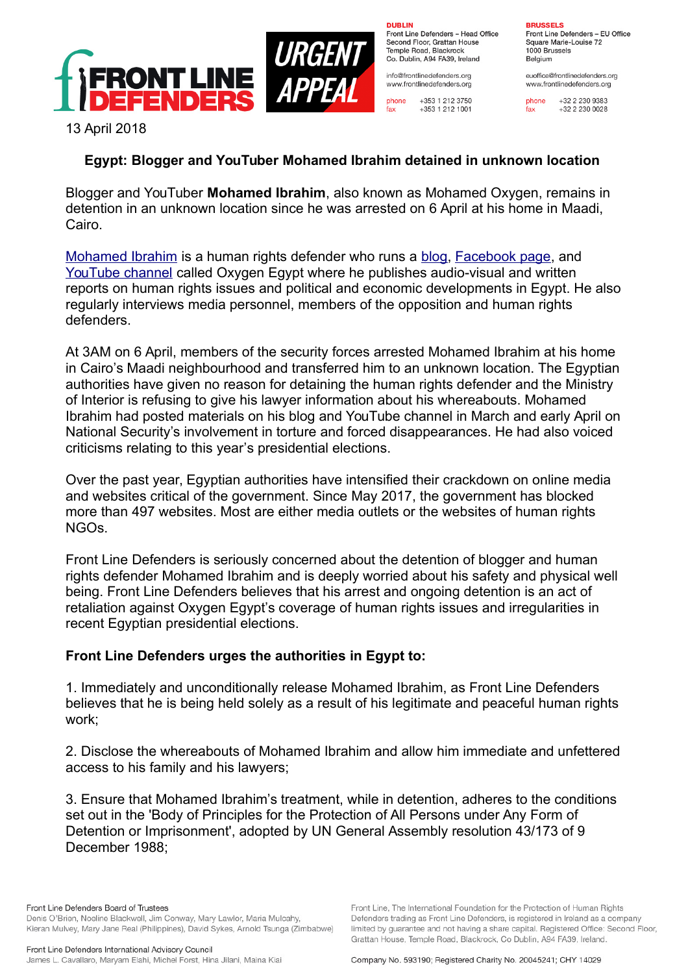

URGEI **APPE** 

**DURLIN** Front Line Defenders - Head Office Second Floor, Grattan House Temple Boad, Blackrock Co. Dublin, A94 FA39, Ireland

info@frontlinedefenders.org www.frontlinedefenders.org

+353 1 212 3750 phone  $fax$ +353 1 212 1001

**BDHCCELC** Front Line Defenders - EU Office

Square Marie-Louise 72 1000 Brussels Belgium

euoffice@frontlinedefenders.org www.frontlinedefenders.org

phone +32 2 230 9383  $fax$  $+3222300028$ 

13 April 2018

## **Egypt: Blogger and YouTuber Mohamed Ibrahim detained in unknown location**

Blogger and YouTuber **Mohamed Ibrahim**, also known as Mohamed Oxygen, remains in detention in an unknown location since he was arrested on 6 April at his home in Maadi, Cairo.

[Mohamed Ibrahim](https://www.frontlinedefenders.org/en/profile/mohamed-ibrahim) is a human rights defender who runs a [blog,](https://x2oegypt.blogspot.com/) [Facebook page,](https://www.facebook.com/x2oEgypt/) and [YouTube channel](https://www.youtube.com/channel/UCZbcBOvzF-Gsopydgye99lw) called Oxygen Egypt where he publishes audio-visual and written reports on human rights issues and political and economic developments in Egypt. He also regularly interviews media personnel, members of the opposition and human rights defenders.

At 3AM on 6 April, members of the security forces arrested Mohamed Ibrahim at his home in Cairo's Maadi neighbourhood and transferred him to an unknown location. The Egyptian authorities have given no reason for detaining the human rights defender and the Ministry of Interior is refusing to give his lawyer information about his whereabouts. Mohamed Ibrahim had posted materials on his blog and YouTube channel in March and early April on National Security's involvement in torture and forced disappearances. He had also voiced criticisms relating to this year's presidential elections.

Over the past year, Egyptian authorities have intensified their crackdown on online media and websites critical of the government. Since May 2017, the government has blocked more than 497 websites. Most are either media outlets or the websites of human rights NGOs.

Front Line Defenders is seriously concerned about the detention of blogger and human rights defender Mohamed Ibrahim and is deeply worried about his safety and physical well being. Front Line Defenders believes that his arrest and ongoing detention is an act of retaliation against Oxygen Egypt's coverage of human rights issues and irregularities in recent Egyptian presidential elections.

## **Front Line Defenders urges the authorities in Egypt to:**

1. Immediately and unconditionally release Mohamed Ibrahim, as Front Line Defenders believes that he is being held solely as a result of his legitimate and peaceful human rights work;

2. Disclose the whereabouts of Mohamed Ibrahim and allow him immediate and unfettered access to his family and his lawyers;

3. Ensure that Mohamed Ibrahim's treatment, while in detention, adheres to the conditions set out in the 'Body of Principles for the Protection of All Persons under Any Form of Detention or Imprisonment', adopted by UN General Assembly resolution 43/173 of 9 December 1988;

Front Line Defenders Board of Trustees Denis O'Brien, Noeline Blackwell, Jim Conway, Mary Lawlor, Maria Mulcahy, Kieran Mulvey, Mary Jane Real (Philippines), David Sykes, Arnold Tsunga (Zimbabwe)

Company No. 593190; Registered Charity No. 20045241; CHY 14029

Front Line. The International Foundation for the Protection of Human Rights